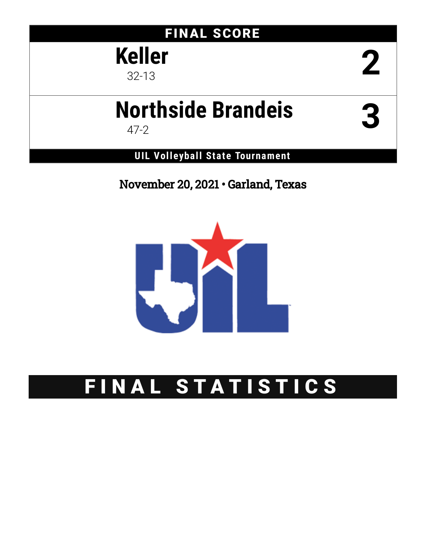## FINAL SCORE

**Keller eller 2** 

# **Northside Brandeis** 47-2 **3**

**UIL Volleyball State Tournament**

November 20, 2021 • Garland, Texas



# FINAL STATISTICS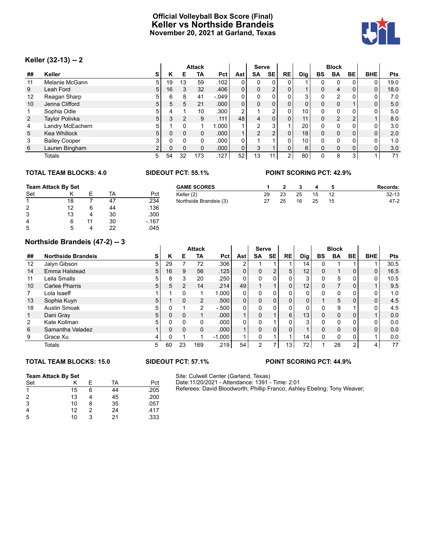### **Official Volleyball Box Score (Final) Keller vs Northside Brandeis November 20, 2021 at Garland, Texas**



### **Keller (32-13) -- 2**

|                | $120101 (92.19) - 2$ |                |          |    |               |                   |                |                |                |              |            |          |                |                |                |            |
|----------------|----------------------|----------------|----------|----|---------------|-------------------|----------------|----------------|----------------|--------------|------------|----------|----------------|----------------|----------------|------------|
|                |                      |                |          |    | <b>Attack</b> |                   |                | <b>Serve</b>   |                |              |            |          | <b>Block</b>   |                |                |            |
| ##             | Keller               | s              | Κ        | Е  | TA            | Pct               | Ast            | SA             | <b>SE</b>      | <b>RE</b>    | <b>Dig</b> | BS       | <b>BA</b>      | BE             | <b>BHE</b>     | <b>Pts</b> |
| 11             | Melanie McGann       | 5              | 19       | 13 | 59            | .102 <sub>1</sub> | 0              | 0              | 0              |              |            |          | 0              | 0              | 0              | 19.0       |
| 9              | Leah Ford            | 5              | 16       | 3  | 32            | .406              | 0 <sub>1</sub> | 0              | $\overline{2}$ | $\Omega$     |            | $\Omega$ | $\overline{4}$ | 0              | $\overline{0}$ | 18.0       |
| 12             | Reagan Sharp         | 5              | 6        | 8  | 41            | $-0.049$          | $\mathbf{0}$   | 0              | 0              | 0            | 3          | 0        | $\overline{2}$ | 0              | 0              | 7.0        |
| 10             | Jenna Clifford       | 5              | 5        | 5  | 21            | .000 <sub>1</sub> | 0 <sub>1</sub> | 0              | $\mathbf{0}$   | $\Omega$     | 0          | $\Omega$ | 0              |                | 0 <sub>1</sub> | 5.0        |
|                | Sophia Odle          | 5              |          |    | 10            | .300              | $\overline{2}$ |                | 2              | 0            | 10         | 0        | 0              | 0              | 0              | 5.0        |
| $\overline{2}$ | Taylor Polivka       | 5              | 3        |    | 9             | .111              | 48             | $\overline{4}$ | $\mathbf{0}$   | $\Omega$     | 11.        | $\Omega$ | $\overline{2}$ | $\overline{2}$ |                | 8.0        |
| 4              | Landry McEachern     | 5              |          |    |               | 000.1             |                | 2              | 3              |              | 20         |          | 0              | 0              | 0              | 3.0        |
| 5              | Kea Whillock         | 5              | 0        |    | 0             | .000 <sub>1</sub> |                | 2              | $\overline{2}$ | 0            | 18         | $\Omega$ | $\mathbf 0$    | 0              | $\overline{0}$ | 2.0        |
| 3              | <b>Bailey Cooper</b> | 3              | 0        |    | 0             | .000              | $\Omega$       |                |                | 0            | 10         | $\Omega$ | $\Omega$       | 0              | 0              | 1.0        |
| 6              | Lauren Bingham       | $\overline{2}$ | $\Omega$ |    | 0             | .000 <sub>1</sub> | 0              | 3              |                | 0            | 6          | $\Omega$ | $\Omega$       | 0              | $\mathbf{0}$   | 3.0        |
|                | Totals               | 5              | 54       | 32 | 173           | .127              | 52             | 13             | 11             | $\mathbf{2}$ | 80         |          | 8              | 3              |                | 71         |

### **TOTAL TEAM BLOCKS: 4.0 SIDEOUT PCT: 55.1% POINT SCORING PCT: 42.9%**

|     | <b>Team Attack By Set</b> |  |    |        | <b>GAME SCORES</b>     |    |    |    |    |    | Records:  |
|-----|---------------------------|--|----|--------|------------------------|----|----|----|----|----|-----------|
| Set |                           |  | TA | Pct    | Keller (2)             | 29 | 23 | 25 | 15 | 12 | $32 - 13$ |
|     | 18                        |  | 47 | .234   | Northside Brandeis (3) | 27 | 25 | 16 | 25 | 15 | $47 - 2$  |
| 2   | 12                        |  | 44 | .136   |                        |    |    |    |    |    |           |
| 3   | 13                        |  | 30 | .300   |                        |    |    |    |    |    |           |
| 4   |                           |  | 30 | $-167$ |                        |    |    |    |    |    |           |
| 5   |                           |  | 22 | .045   |                        |    |    |    |    |    |           |

### **Northside Brandeis (47-2) -- 3**

|                   | Northside Brandels (47-2) -- 3 |    |          |                |                |                   |                |          |                |              |                 |              |              |    |            |            |
|-------------------|--------------------------------|----|----------|----------------|----------------|-------------------|----------------|----------|----------------|--------------|-----------------|--------------|--------------|----|------------|------------|
|                   |                                |    |          |                | <b>Attack</b>  |                   |                | Serve    |                |              |                 |              | <b>Block</b> |    |            |            |
| ##                | <b>Northside Brandeis</b>      | S  | к        | Е              | <b>TA</b>      | Pct               | Ast            | SA       | <b>SE</b>      | <b>RE</b>    | Dig             | BS           | <b>BA</b>    | BE | <b>BHE</b> | <b>Pts</b> |
| $12 \overline{ }$ | Jalyn Gibson                   | 5  | 29       |                | 72             | .306              | $\overline{2}$ |          |                |              | 14              | <sup>0</sup> |              |    |            | 30.5       |
| 14                | Emma Halstead                  | 5  | 16       | 9              | 56             | .125              | 0              | $\Omega$ | $\overline{2}$ | 5            | 12              | $\Omega$     |              | 0  | 0          | 16.5       |
| 11                | Leila Smalls                   | 5. | 8        | 3              | 20             | .250              | 0              |          | 0              | 0            | 3               | 0            | 5            | 0  | 0          | 10.5       |
| 10                | Carlee Pharris                 | 5  | 5        | $\overline{2}$ | 14             | .214              | 49             |          |                | $\mathbf{0}$ | 12              | $\mathbf{0}$ |              | 0  |            | 9.5        |
|                   | Lola Isaeff                    |    |          | $\Omega$       |                | .000              | $\Omega$       | $\Omega$ | 0              | 0            | $\Omega$        | <sup>0</sup> | $\Omega$     | 0  | 0          | 1.0        |
| 13                | Sophia Kuyn                    | 5  |          | $\mathbf 0$    | $\overline{2}$ | .500              | 0              |          | 0              | $\Omega$     | $\overline{0}$  |              | 5            | 0  | 0          | 4.5        |
| 18                | <b>Austin Smoak</b>            | 5. |          |                | $\mathcal{P}$  | $-500$            | 0              |          | 0              |              | 0               |              | 9            |    | 0          | 4.5        |
| 1                 | Dani Gray                      | 5  | 0        | $\mathbf 0$    |                | .000 <sub>1</sub> |                |          |                | 6            | 13 <sub>1</sub> | $\Omega$     | 0            | 0  |            | 0.0        |
| 2                 | Kate Kollman                   | 5. | U        | $\Omega$       | 0              | .000              | 0              |          |                | 0            | 3               | $\Omega$     | $\Omega$     | 0  | 0          | 0.0        |
| 6                 | Samantha Valadez               |    | $\Omega$ | $\Omega$       | 0              | .000              |                | $\Omega$ | 0              | $\Omega$     |                 | $\Omega$     | $\mathbf 0$  | 0  | 0          | 0.0        |
| 9                 | Grace Xu                       | 4  |          |                |                | $-1.000$          |                | $\Omega$ |                |              | 14 <sub>1</sub> | 0            | $\Omega$     | 0  |            | 0.0        |
|                   | Totals                         | 5  | 60       | 23             | 169            | .219              | 54             | 2        |                | 13           | 72              |              | 28           | 2  | 4          | 77         |

### **TOTAL TEAM BLOCKS: 15.0 SIDEOUT PCT: 57.1% POINT SCORING PCT: 44.9%**

### **Team Attack By Set**

| Set |    | F | TA | Pct  |
|-----|----|---|----|------|
| 1   | 15 | 6 | 44 | .205 |
| 2   | 13 |   | 45 | .200 |
| 3   | 10 | 8 | 35 | .057 |
|     | 12 | 2 | 24 | .417 |
| 5   | 10 | 3 | 21 | .333 |

Site: Culwell Center (Garland, Texas) Date:11/20/2021 - Attendance: 1391 - Time: 2:01 Referees: David Bloodworth; Phillip Franco; Ashley Ebeling; Tony Weaver;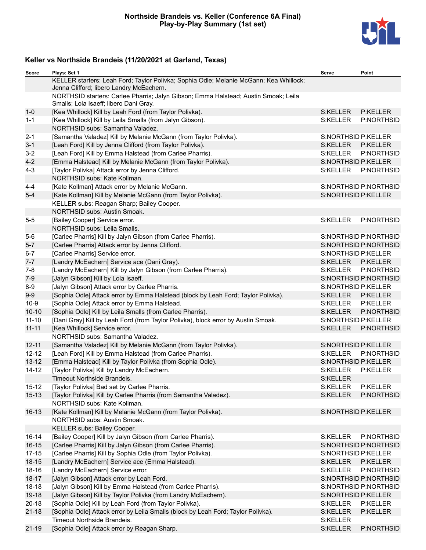

| Score              | Plays: Set 1                                                                                                                       | Serve                      | Point                               |
|--------------------|------------------------------------------------------------------------------------------------------------------------------------|----------------------------|-------------------------------------|
|                    | KELLER starters: Leah Ford; Taylor Polivka; Sophia Odle; Melanie McGann; Kea Whillock;<br>Jenna Clifford; libero Landry McEachern. |                            |                                     |
|                    | NORTHSID starters: Carlee Pharris; Jalyn Gibson; Emma Halstead; Austin Smoak; Leila<br>Smalls; Lola Isaeff; libero Dani Gray.      |                            |                                     |
| $1 - 0$            | [Kea Whillock] Kill by Leah Ford (from Taylor Polivka).                                                                            | S:KELLER                   | P:KELLER                            |
| $1 - 1$            | [Kea Whillock] Kill by Leila Smalls (from Jalyn Gibson).                                                                           | S:KELLER                   | P:NORTHSID                          |
|                    | NORTHSID subs: Samantha Valadez.                                                                                                   |                            |                                     |
| $2 - 1$            | [Samantha Valadez] Kill by Melanie McGann (from Taylor Polivka).                                                                   | <b>S:NORTHSID P:KELLER</b> |                                     |
| $3 - 1$            | [Leah Ford] Kill by Jenna Clifford (from Taylor Polivka).                                                                          | S:KELLER                   | P:KELLER                            |
| $3-2$              | [Leah Ford] Kill by Emma Halstead (from Carlee Pharris).                                                                           | S:KELLER                   | P:NORTHSID                          |
| $4 - 2$            | [Emma Halstead] Kill by Melanie McGann (from Taylor Polivka).                                                                      | S:NORTHSID P:KELLER        |                                     |
| $4 - 3$            | [Taylor Polivka] Attack error by Jenna Clifford.                                                                                   | S:KELLER                   | P:NORTHSID                          |
|                    | NORTHSID subs: Kate Kollman.                                                                                                       |                            |                                     |
| $4 - 4$            | [Kate Kollman] Attack error by Melanie McGann.                                                                                     |                            | S:NORTHSID P:NORTHSID               |
| $5-4$              | [Kate Kollman] Kill by Melanie McGann (from Taylor Polivka).                                                                       | S:NORTHSID P:KELLER        |                                     |
|                    | KELLER subs: Reagan Sharp; Bailey Cooper.                                                                                          |                            |                                     |
|                    | NORTHSID subs: Austin Smoak.                                                                                                       |                            |                                     |
| $5 - 5$            | [Bailey Cooper] Service error.                                                                                                     | S:KELLER                   | P:NORTHSID                          |
|                    | NORTHSID subs: Leila Smalls.                                                                                                       |                            |                                     |
| $5-6$              | [Carlee Pharris] Kill by Jalyn Gibson (from Carlee Pharris).                                                                       |                            | S:NORTHSID P:NORTHSID               |
| $5-7$              | [Carlee Pharris] Attack error by Jenna Clifford.                                                                                   |                            | S:NORTHSID P:NORTHSID               |
| $6 - 7$            | [Carlee Pharris] Service error.                                                                                                    | S:NORTHSID P:KELLER        |                                     |
| $7 - 7$            | [Landry McEachern] Service ace (Dani Gray).                                                                                        | S:KELLER                   | P:KELLER                            |
| $7 - 8$            | [Landry McEachern] Kill by Jalyn Gibson (from Carlee Pharris).                                                                     | S:KELLER                   | P:NORTHSID                          |
| $7-9$              | [Jalyn Gibson] Kill by Lola Isaeff.                                                                                                |                            | S:NORTHSID P:NORTHSID               |
| $8-9$              | [Jalyn Gibson] Attack error by Carlee Pharris.                                                                                     | <b>S:NORTHSID P:KELLER</b> |                                     |
| $9-9$              | [Sophia Odle] Attack error by Emma Halstead (block by Leah Ford; Taylor Polivka).                                                  | S:KELLER                   | P:KELLER                            |
| $10-9$             | [Sophia Odle] Attack error by Emma Halstead.                                                                                       | S:KELLER                   | P:KELLER                            |
| $10 - 10$          | [Sophia Odle] Kill by Leila Smalls (from Carlee Pharris).                                                                          | S:KELLER                   | P:NORTHSID                          |
| $11 - 10$          | [Dani Gray] Kill by Leah Ford (from Taylor Polivka), block error by Austin Smoak.                                                  | S:NORTHSID P:KELLER        |                                     |
| $11 - 11$          | [Kea Whillock] Service error.                                                                                                      | S:KELLER                   | P:NORTHSID                          |
|                    | NORTHSID subs: Samantha Valadez.                                                                                                   |                            |                                     |
| $12 - 11$          | [Samantha Valadez] Kill by Melanie McGann (from Taylor Polivka).                                                                   | <b>S:NORTHSID P:KELLER</b> |                                     |
| $12 - 12$          | [Leah Ford] Kill by Emma Halstead (from Carlee Pharris).                                                                           | S:KELLER                   | P:NORTHSID                          |
| $13 - 12$          | [Emma Halstead] Kill by Taylor Polivka (from Sophia Odle).                                                                         | S:NORTHSID P:KELLER        |                                     |
| $14 - 12$          | [Taylor Polivka] Kill by Landry McEachern.                                                                                         | S:KELLER                   | P:KELLER                            |
|                    | Timeout Northside Brandeis.                                                                                                        | S:KELLER                   |                                     |
| $15 - 12$          | [Taylor Polivka] Bad set by Carlee Pharris.                                                                                        | S:KELLER                   | P:KELLER                            |
| $15 - 13$          | [Taylor Polivka] Kill by Carlee Pharris (from Samantha Valadez).                                                                   | S:KELLER                   | P:NORTHSID                          |
|                    | NORTHSID subs: Kate Kollman.                                                                                                       |                            |                                     |
| $16 - 13$          | [Kate Kollman] Kill by Melanie McGann (from Taylor Polivka).                                                                       | S:NORTHSID P:KELLER        |                                     |
|                    | NORTHSID subs: Austin Smoak.                                                                                                       |                            |                                     |
|                    | KELLER subs: Bailey Cooper.<br>[Bailey Cooper] Kill by Jalyn Gibson (from Carlee Pharris).                                         |                            |                                     |
| 16-14<br>$16 - 15$ |                                                                                                                                    | S:KELLER                   | P:NORTHSID<br>S:NORTHSID P:NORTHSID |
| $17 - 15$          | [Carlee Pharris] Kill by Jalyn Gibson (from Carlee Pharris).<br>[Carlee Pharris] Kill by Sophia Odle (from Taylor Polivka).        | <b>S:NORTHSID P:KELLER</b> |                                     |
| $18 - 15$          |                                                                                                                                    | S:KELLER                   | P:KELLER                            |
| 18-16              | [Landry McEachern] Service ace (Emma Halstead).<br>[Landry McEachern] Service error.                                               | S:KELLER                   | P:NORTHSID                          |
| $18 - 17$          |                                                                                                                                    |                            | S:NORTHSID P:NORTHSID               |
| $18 - 18$          | [Jalyn Gibson] Attack error by Leah Ford.<br>[Jalyn Gibson] Kill by Emma Halstead (from Carlee Pharris).                           |                            | S:NORTHSID P:NORTHSID               |
| 19-18              | [Jalyn Gibson] Kill by Taylor Polivka (from Landry McEachern).                                                                     | S:NORTHSID P:KELLER        |                                     |
| $20 - 18$          | [Sophia Odle] Kill by Leah Ford (from Taylor Polivka).                                                                             | S:KELLER                   | <b>P:KELLER</b>                     |
| $21 - 18$          | [Sophia Odle] Attack error by Leila Smalls (block by Leah Ford; Taylor Polivka).                                                   | S:KELLER                   | P:KELLER                            |
|                    | Timeout Northside Brandeis.                                                                                                        | S:KELLER                   |                                     |
| $21 - 19$          | [Sophia Odle] Attack error by Reagan Sharp.                                                                                        | S:KELLER                   | P:NORTHSID                          |
|                    |                                                                                                                                    |                            |                                     |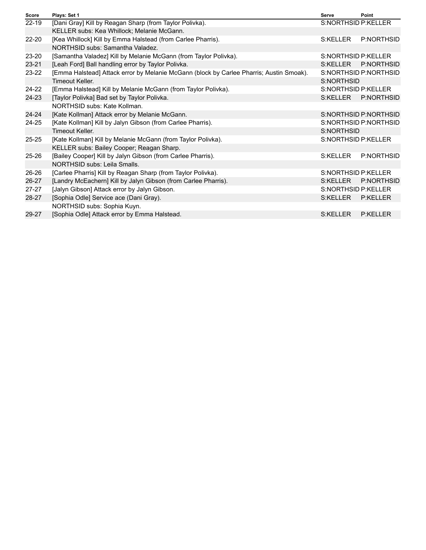| <b>Score</b> | Plays: Set 1                                                                            | Serve      | Point                      |
|--------------|-----------------------------------------------------------------------------------------|------------|----------------------------|
| 22-19        | [Dani Gray] Kill by Reagan Sharp (from Taylor Polivka).                                 |            | S:NORTHSID P:KELLER        |
|              | KELLER subs: Kea Whillock; Melanie McGann.                                              |            |                            |
| $22 - 20$    | [Kea Whillock] Kill by Emma Halstead (from Carlee Pharris).                             | S:KELLER   | P:NORTHSID                 |
|              | NORTHSID subs: Samantha Valadez.                                                        |            |                            |
| $23 - 20$    | [Samantha Valadez] Kill by Melanie McGann (from Taylor Polivka).                        |            | S:NORTHSID P:KELLER        |
| $23 - 21$    | [Leah Ford] Ball handling error by Taylor Polivka.                                      | S:KELLER   | P:NORTHSID                 |
| $23 - 22$    | [Emma Halstead] Attack error by Melanie McGann (block by Carlee Pharris; Austin Smoak). |            | S:NORTHSID P:NORTHSID      |
|              | Timeout Keller.                                                                         | S:NORTHSID |                            |
| $24 - 22$    | [Emma Halstead] Kill by Melanie McGann (from Taylor Polivka).                           |            | <b>S:NORTHSID P:KELLER</b> |
| 24-23        | [Taylor Polivka] Bad set by Taylor Polivka.                                             | S:KELLER   | P:NORTHSID                 |
|              | NORTHSID subs: Kate Kollman.                                                            |            |                            |
| $24 - 24$    | [Kate Kollman] Attack error by Melanie McGann.                                          |            | S:NORTHSID P:NORTHSID      |
| $24 - 25$    | [Kate Kollman] Kill by Jalyn Gibson (from Carlee Pharris).                              |            | S:NORTHSID P:NORTHSID      |
|              | Timeout Keller.                                                                         | S:NORTHSID |                            |
| $25 - 25$    | [Kate Kollman] Kill by Melanie McGann (from Taylor Polivka).                            |            | S:NORTHSID P:KELLER        |
|              | KELLER subs: Bailey Cooper; Reagan Sharp.                                               |            |                            |
| $25 - 26$    | [Bailey Cooper] Kill by Jalyn Gibson (from Carlee Pharris).                             | S:KELLER   | P:NORTHSID                 |
|              | NORTHSID subs: Leila Smalls.                                                            |            |                            |
| $26 - 26$    | [Carlee Pharris] Kill by Reagan Sharp (from Taylor Polivka).                            |            | <b>S:NORTHSID P:KELLER</b> |
| 26-27        | [Landry McEachern] Kill by Jalyn Gibson (from Carlee Pharris).                          | S:KELLER   | P:NORTHSID                 |
| $27 - 27$    | [Jalyn Gibson] Attack error by Jalyn Gibson.                                            |            | S:NORTHSID P:KELLER        |
| 28-27        | [Sophia Odle] Service ace (Dani Gray).                                                  | S:KELLER   | <b>P:KELLER</b>            |
|              | NORTHSID subs: Sophia Kuyn.                                                             |            |                            |
| 29-27        | [Sophia Odle] Attack error by Emma Halstead.                                            | S:KELLER   | <b>P:KELLER</b>            |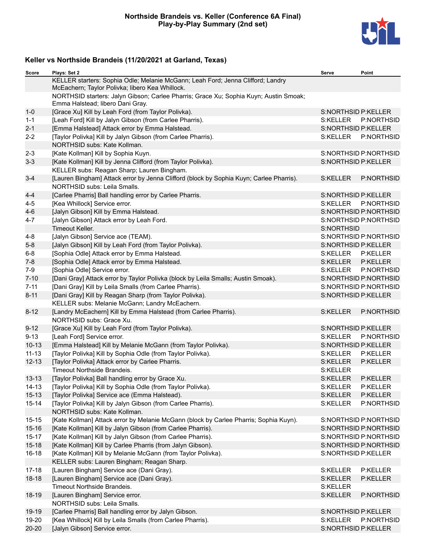

| <b>Score</b> | Plays: Set 2                                                                                                                       | Serve                      | Point                 |
|--------------|------------------------------------------------------------------------------------------------------------------------------------|----------------------------|-----------------------|
|              | KELLER starters: Sophia Odle; Melanie McGann; Leah Ford; Jenna Clifford; Landry<br>McEachern; Taylor Polivka; libero Kea Whillock. |                            |                       |
|              | NORTHSID starters: Jalyn Gibson; Carlee Pharris; Grace Xu; Sophia Kuyn; Austin Smoak;<br>Emma Halstead; libero Dani Gray.          |                            |                       |
| $1 - 0$      | [Grace Xu] Kill by Leah Ford (from Taylor Polivka).                                                                                | <b>S:NORTHSID P:KELLER</b> |                       |
| $1 - 1$      | [Leah Ford] Kill by Jalyn Gibson (from Carlee Pharris).                                                                            | S:KELLER                   | P:NORTHSID            |
| $2 - 1$      | [Emma Halstead] Attack error by Emma Halstead.                                                                                     | S:NORTHSID P:KELLER        |                       |
| $2 - 2$      | [Taylor Polivka] Kill by Jalyn Gibson (from Carlee Pharris).                                                                       | S:KELLER                   | P:NORTHSID            |
|              | NORTHSID subs: Kate Kollman.                                                                                                       |                            |                       |
| $2 - 3$      | [Kate Kollman] Kill by Sophia Kuyn.                                                                                                |                            | S:NORTHSID P:NORTHSID |
| $3 - 3$      | [Kate Kollman] Kill by Jenna Clifford (from Taylor Polivka).                                                                       | <b>S:NORTHSID P:KELLER</b> |                       |
|              | KELLER subs: Reagan Sharp; Lauren Bingham.                                                                                         |                            |                       |
| $3 - 4$      | [Lauren Bingham] Attack error by Jenna Clifford (block by Sophia Kuyn; Carlee Pharris).                                            | S:KELLER                   | P:NORTHSID            |
|              | NORTHSID subs: Leila Smalls.                                                                                                       |                            |                       |
| $4 - 4$      | [Carlee Pharris] Ball handling error by Carlee Pharris.                                                                            | S:NORTHSID P:KELLER        |                       |
| $4 - 5$      | [Kea Whillock] Service error.                                                                                                      | S:KELLER                   | P:NORTHSID            |
| $4 - 6$      | [Jalyn Gibson] Kill by Emma Halstead.                                                                                              |                            | S:NORTHSID P:NORTHSID |
| $4 - 7$      | [Jalyn Gibson] Attack error by Leah Ford.                                                                                          |                            | S:NORTHSID P:NORTHSID |
|              | Timeout Keller.                                                                                                                    | S:NORTHSID                 |                       |
| $4 - 8$      | [Jalyn Gibson] Service ace (TEAM).                                                                                                 |                            | S:NORTHSID P:NORTHSID |
| $5 - 8$      | [Jalyn Gibson] Kill by Leah Ford (from Taylor Polivka).                                                                            | S:NORTHSID P:KELLER        |                       |
| $6-8$        | [Sophia Odle] Attack error by Emma Halstead.                                                                                       | S:KELLER                   | P:KELLER              |
| $7 - 8$      | [Sophia Odle] Attack error by Emma Halstead.                                                                                       | S:KELLER                   | P:KELLER              |
| 7-9          | [Sophia Odle] Service error.                                                                                                       | S:KELLER                   | P:NORTHSID            |
| $7 - 10$     | [Dani Gray] Attack error by Taylor Polivka (block by Leila Smalls; Austin Smoak).                                                  |                            | S:NORTHSID P:NORTHSID |
| $7 - 11$     | [Dani Gray] Kill by Leila Smalls (from Carlee Pharris).                                                                            |                            | S:NORTHSID P:NORTHSID |
| $8 - 11$     | [Dani Gray] Kill by Reagan Sharp (from Taylor Polivka).                                                                            | S:NORTHSID P:KELLER        |                       |
|              | KELLER subs: Melanie McGann; Landry McEachern.                                                                                     |                            |                       |
| $8 - 12$     | [Landry McEachern] Kill by Emma Halstead (from Carlee Pharris).                                                                    | S:KELLER                   | P:NORTHSID            |
|              | NORTHSID subs: Grace Xu.                                                                                                           |                            |                       |
| $9 - 12$     | [Grace Xu] Kill by Leah Ford (from Taylor Polivka).                                                                                | S:NORTHSID P:KELLER        |                       |
| $9 - 13$     | [Leah Ford] Service error.                                                                                                         | S:KELLER                   | P:NORTHSID            |
| $10-13$      | [Emma Halstead] Kill by Melanie McGann (from Taylor Polivka).                                                                      | S:NORTHSID P:KELLER        |                       |
| $11 - 13$    | [Taylor Polivka] Kill by Sophia Odle (from Taylor Polivka).                                                                        | S:KELLER                   | P:KELLER              |
| $12 - 13$    | [Taylor Polivka] Attack error by Carlee Pharris.                                                                                   | S:KELLER                   | P:KELLER              |
|              | Timeout Northside Brandeis.                                                                                                        | S:KELLER                   |                       |
| $13 - 13$    | [Taylor Polivka] Ball handling error by Grace Xu.                                                                                  | S:KELLER                   | P:KELLER              |
| $14 - 13$    | [Taylor Polivka] Kill by Sophia Odle (from Taylor Polivka).                                                                        | S:KELLER                   | P:KELLER              |
| $15 - 13$    | [Taylor Polivka] Service ace (Emma Halstead).                                                                                      | S:KELLER                   | P:KELLER              |
| $15 - 14$    | [Taylor Polivka] Kill by Jalyn Gibson (from Carlee Pharris).                                                                       | S:KELLER                   | P:NORTHSID            |
|              | NORTHSID subs: Kate Kollman.                                                                                                       |                            |                       |
| $15 - 15$    | [Kate Kollman] Attack error by Melanie McGann (block by Carlee Pharris; Sophia Kuyn).                                              |                            | S:NORTHSID P:NORTHSID |
| $15 - 16$    | [Kate Kollman] Kill by Jalyn Gibson (from Carlee Pharris).                                                                         |                            | S:NORTHSID P:NORTHSID |
| $15 - 17$    | [Kate Kollman] Kill by Jalyn Gibson (from Carlee Pharris).                                                                         |                            | S:NORTHSID P:NORTHSID |
| $15 - 18$    | [Kate Kollman] Kill by Carlee Pharris (from Jalyn Gibson).                                                                         |                            | S:NORTHSID P:NORTHSID |
| 16-18        | [Kate Kollman] Kill by Melanie McGann (from Taylor Polivka).                                                                       | S:NORTHSID P:KELLER        |                       |
|              | KELLER subs: Lauren Bingham; Reagan Sharp.                                                                                         |                            |                       |
| $17 - 18$    | [Lauren Bingham] Service ace (Dani Gray).                                                                                          | S:KELLER                   | P:KELLER              |
| $18 - 18$    | [Lauren Bingham] Service ace (Dani Gray).                                                                                          | S:KELLER                   | P:KELLER              |
|              | Timeout Northside Brandeis.                                                                                                        | S:KELLER                   |                       |
| 18-19        | [Lauren Bingham] Service error.                                                                                                    | S:KELLER                   | P:NORTHSID            |
|              | NORTHSID subs: Leila Smalls.                                                                                                       |                            |                       |
| 19-19        | [Carlee Pharris] Ball handling error by Jalyn Gibson.                                                                              | S:NORTHSID P:KELLER        |                       |
| 19-20        | [Kea Whillock] Kill by Leila Smalls (from Carlee Pharris).                                                                         | S:KELLER                   | P:NORTHSID            |
| $20 - 20$    | [Jalyn Gibson] Service error.                                                                                                      | S:NORTHSID P:KELLER        |                       |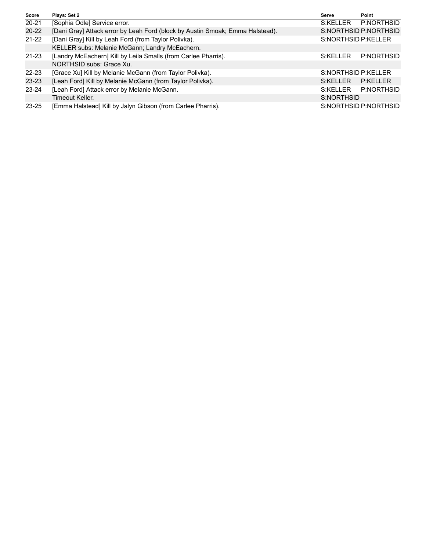| <b>Score</b> | Plays: Set 2                                                                  | Serve               | Point                 |
|--------------|-------------------------------------------------------------------------------|---------------------|-----------------------|
| $20 - 21$    | [Sophia Odle] Service error.                                                  | S:KELLER            | P:NORTHSID            |
| $20 - 22$    | [Dani Gray] Attack error by Leah Ford (block by Austin Smoak; Emma Halstead). |                     | S:NORTHSID P:NORTHSID |
| $21 - 22$    | [Dani Gray] Kill by Leah Ford (from Taylor Polivka).                          | S:NORTHSID P:KELLER |                       |
|              | KELLER subs: Melanie McGann; Landry McEachern.                                |                     |                       |
| $21 - 23$    | [Landry McEachern] Kill by Leila Smalls (from Carlee Pharris).                | S:KFIIFR            | P:NORTHSID            |
|              | NORTHSID subs: Grace Xu.                                                      |                     |                       |
| $22 - 23$    | [Grace Xu] Kill by Melanie McGann (from Taylor Polivka).                      | S:NORTHSID P:KELLER |                       |
| $23 - 23$    | [Leah Ford] Kill by Melanie McGann (from Taylor Polivka).                     | S:KELLER            | P:KFIIFR              |
| $23 - 24$    | [Leah Ford] Attack error by Melanie McGann.                                   | S:KELLER            | P:NORTHSID            |
|              | Timeout Keller.                                                               | S:NORTHSID          |                       |
| $23 - 25$    | [Emma Halstead] Kill by Jalyn Gibson (from Carlee Pharris).                   |                     | S:NORTHSID P:NORTHSID |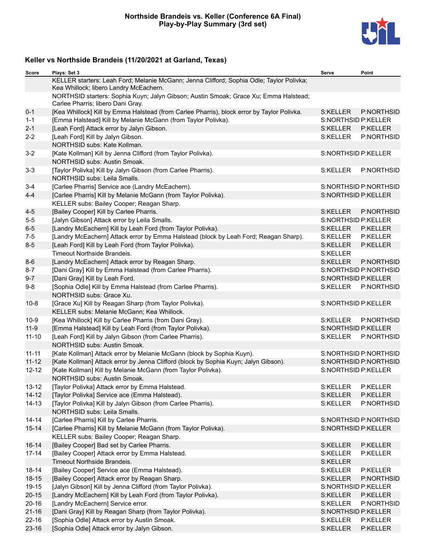### **Northside Brandeis vs. Keller (Conference 6A Final) Play-by-Play Summary (3rd set)**



| <b>Score</b> | Plays: Set 3                                                                                                                       | Serve                      | Point                 |
|--------------|------------------------------------------------------------------------------------------------------------------------------------|----------------------------|-----------------------|
|              | KELLER starters: Leah Ford; Melanie McGann; Jenna Clifford; Sophia Odle; Taylor Polivka;<br>Kea Whillock; libero Landry McEachern. |                            |                       |
|              | NORTHSID starters: Sophia Kuyn; Jalyn Gibson; Austin Smoak; Grace Xu; Emma Halstead;<br>Carlee Pharris; libero Dani Gray.          |                            |                       |
| $0 - 1$      | [Kea Whillock] Kill by Emma Halstead (from Carlee Pharris), block error by Taylor Polivka.                                         | S:KELLER                   | P:NORTHSID            |
| $1 - 1$      | [Emma Halstead] Kill by Melanie McGann (from Taylor Polivka).                                                                      | <b>S:NORTHSID P:KELLER</b> |                       |
| $2 - 1$      | [Leah Ford] Attack error by Jalyn Gibson.                                                                                          | S:KELLER                   | P:KELLER              |
| $2 - 2$      | [Leah Ford] Kill by Jalyn Gibson.                                                                                                  | S:KELLER                   | P:NORTHSID            |
|              | NORTHSID subs: Kate Kollman.                                                                                                       |                            |                       |
| $3 - 2$      | [Kate Kollman] Kill by Jenna Clifford (from Taylor Polivka).                                                                       | S:NORTHSID P:KELLER        |                       |
|              | NORTHSID subs: Austin Smoak.                                                                                                       |                            |                       |
| $3 - 3$      | [Taylor Polivka] Kill by Jalyn Gibson (from Carlee Pharris).<br>NORTHSID subs: Leila Smalls.                                       | S:KELLER                   | P:NORTHSID            |
| $3 - 4$      | [Carlee Pharris] Service ace (Landry McEachern).                                                                                   |                            | S:NORTHSID P:NORTHSID |
| $4 - 4$      | [Carlee Pharris] Kill by Melanie McGann (from Taylor Polivka).                                                                     | S:NORTHSID P:KELLER        |                       |
|              | KELLER subs: Bailey Cooper; Reagan Sharp.                                                                                          |                            |                       |
| $4 - 5$      | [Bailey Cooper] Kill by Carlee Pharris.                                                                                            | S:KELLER                   | P:NORTHSID            |
| $5-5$        | [Jalyn Gibson] Attack error by Leila Smalls.                                                                                       | <b>S:NORTHSID P:KELLER</b> |                       |
| $6-5$        | [Landry McEachern] Kill by Leah Ford (from Taylor Polivka).                                                                        | S:KELLER                   | P:KELLER              |
| $7 - 5$      | [Landry McEachern] Attack error by Emma Halstead (block by Leah Ford; Reagan Sharp).                                               | S:KELLER                   | P:KELLER              |
| $8-5$        | [Leah Ford] Kill by Leah Ford (from Taylor Polivka).                                                                               | S:KELLER                   | P:KELLER              |
|              | Timeout Northside Brandeis.                                                                                                        | S:KELLER                   |                       |
| $8-6$        | [Landry McEachern] Attack error by Reagan Sharp.                                                                                   | S:KELLER                   | P:NORTHSID            |
| $8 - 7$      | [Dani Gray] Kill by Emma Halstead (from Carlee Pharris).                                                                           |                            | S:NORTHSID P:NORTHSID |
| $9 - 7$      | [Dani Gray] Kill by Leah Ford.                                                                                                     | S:NORTHSID P:KELLER        |                       |
| $9-8$        | [Sophia Odle] Kill by Emma Halstead (from Carlee Pharris).                                                                         | S:KELLER                   | P:NORTHSID            |
|              | NORTHSID subs: Grace Xu.                                                                                                           |                            |                       |
| $10-8$       | [Grace Xu] Kill by Reagan Sharp (from Taylor Polivka).                                                                             | S:NORTHSID P:KELLER        |                       |
|              | KELLER subs: Melanie McGann; Kea Whillock.                                                                                         |                            |                       |
| $10-9$       | [Kea Whillock] Kill by Carlee Pharris (from Dani Gray).                                                                            | S:KELLER                   | P:NORTHSID            |
| $11 - 9$     | [Emma Halstead] Kill by Leah Ford (from Taylor Polivka).                                                                           | S:NORTHSID P:KELLER        |                       |
| $11 - 10$    | [Leah Ford] Kill by Jalyn Gibson (from Carlee Pharris).                                                                            | S:KELLER                   | P:NORTHSID            |
|              | NORTHSID subs: Austin Smoak.                                                                                                       |                            |                       |
| $11 - 11$    | [Kate Kollman] Attack error by Melanie McGann (block by Sophia Kuyn).                                                              |                            | S:NORTHSID P:NORTHSID |
| $11 - 12$    | [Kate Kollman] Attack error by Jenna Clifford (block by Sophia Kuyn; Jalyn Gibson).                                                |                            | S:NORTHSID P:NORTHSID |
| $12 - 12$    | [Kate Kollman] Kill by Melanie McGann (from Taylor Polivka).                                                                       | <b>S:NORTHSID P:KELLER</b> |                       |
|              | NORTHSID subs: Austin Smoak.                                                                                                       |                            |                       |
| $13 - 12$    | [Taylor Polivka] Attack error by Emma Halstead.                                                                                    | S:KELLER                   | P:KELLER              |
| $14 - 12$    | [Taylor Polivka] Service ace (Emma Halstead).                                                                                      | S:KELLER                   | P:KELLER              |
| $14 - 13$    | [Taylor Polivka] Kill by Jalyn Gibson (from Carlee Pharris).                                                                       | S:KELLER                   | P:NORTHSID            |
|              | NORTHSID subs: Leila Smalls.                                                                                                       |                            |                       |
| $14 - 14$    | [Carlee Pharris] Kill by Carlee Pharris.                                                                                           |                            | S:NORTHSID P:NORTHSID |
| $15 - 14$    | [Carlee Pharris] Kill by Melanie McGann (from Taylor Polivka).                                                                     | S:NORTHSID P:KELLER        |                       |
|              | KELLER subs: Bailey Cooper; Reagan Sharp.                                                                                          |                            |                       |
| $16 - 14$    | [Bailey Cooper] Bad set by Carlee Pharris.                                                                                         | S:KELLER                   | P:KELLER              |
| $17 - 14$    | [Bailey Cooper] Attack error by Emma Halstead.                                                                                     | S:KELLER                   | P:KELLER              |
|              | Timeout Northside Brandeis.                                                                                                        | S:KELLER                   |                       |
| $18 - 14$    | [Bailey Cooper] Service ace (Emma Halstead).                                                                                       | S:KELLER                   | P:KELLER              |
| $18 - 15$    | [Bailey Cooper] Attack error by Reagan Sharp.                                                                                      | S:KELLER                   | P:NORTHSID            |
| 19-15        | [Jalyn Gibson] Kill by Jenna Clifford (from Taylor Polivka).                                                                       | S:NORTHSID P:KELLER        |                       |
| $20 - 15$    | [Landry McEachern] Kill by Leah Ford (from Taylor Polivka).                                                                        | S:KELLER                   | P:KELLER              |
| $20 - 16$    | [Landry McEachern] Service error.                                                                                                  | S:KELLER                   | P:NORTHSID            |
| $21 - 16$    | [Dani Gray] Kill by Reagan Sharp (from Taylor Polivka).                                                                            | S:NORTHSID P:KELLER        |                       |
| $22 - 16$    | [Sophia Odle] Attack error by Austin Smoak.                                                                                        | S:KELLER                   | P:KELLER              |
| $23 - 16$    | [Sophia Odle] Attack error by Jalyn Gibson.                                                                                        | S:KELLER                   | P:KELLER              |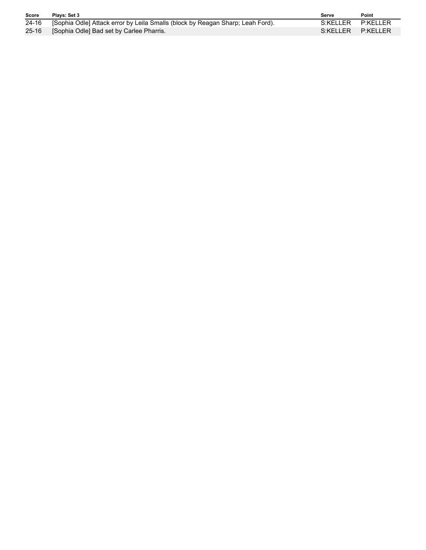| <b>Score</b> | Plays: Set 3                                                                         | Serve             | Point |
|--------------|--------------------------------------------------------------------------------------|-------------------|-------|
|              | 24-16 [Sophia Odle] Attack error by Leila Smalls (block by Reagan Sharp: Leah Ford). | S:KELLER P:KELLER |       |
| 25-16        | <b>Sophia Odle] Bad set by Carlee Pharris.</b>                                       | S:KELLER P:KELLER |       |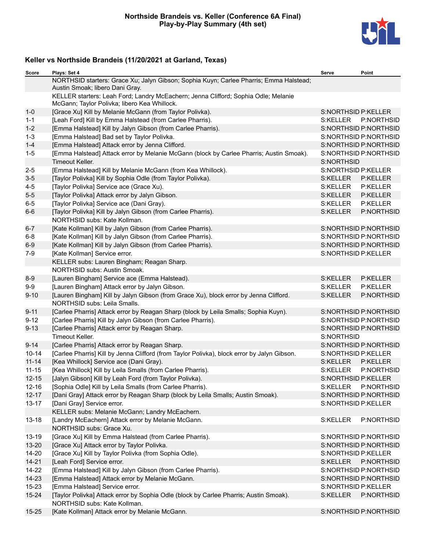

| Score     | Plays: Set 4                                                                                                                       | Serve                      | Point                 |
|-----------|------------------------------------------------------------------------------------------------------------------------------------|----------------------------|-----------------------|
|           | NORTHSID starters: Grace Xu; Jalyn Gibson; Sophia Kuyn; Carlee Pharris; Emma Halstead;<br>Austin Smoak; libero Dani Gray.          |                            |                       |
|           | KELLER starters: Leah Ford; Landry McEachern; Jenna Clifford; Sophia Odle; Melanie<br>McGann; Taylor Polivka; libero Kea Whillock. |                            |                       |
| $1-0$     | [Grace Xu] Kill by Melanie McGann (from Taylor Polivka).                                                                           | <b>S:NORTHSID P:KELLER</b> |                       |
| $1 - 1$   | [Leah Ford] Kill by Emma Halstead (from Carlee Pharris).                                                                           | S:KELLER                   | P:NORTHSID            |
| $1 - 2$   | [Emma Halstead] Kill by Jalyn Gibson (from Carlee Pharris).                                                                        |                            | S:NORTHSID P:NORTHSID |
| $1 - 3$   | [Emma Halstead] Bad set by Taylor Polivka.                                                                                         |                            | S:NORTHSID P:NORTHSID |
| $1 - 4$   | [Emma Halstead] Attack error by Jenna Clifford.                                                                                    |                            | S:NORTHSID P:NORTHSID |
| $1-5$     | [Emma Halstead] Attack error by Melanie McGann (block by Carlee Pharris; Austin Smoak).                                            |                            | S:NORTHSID P:NORTHSID |
|           | <b>Timeout Keller.</b>                                                                                                             | S:NORTHSID                 |                       |
| $2 - 5$   | [Emma Halstead] Kill by Melanie McGann (from Kea Whillock).                                                                        | <b>S:NORTHSID P:KELLER</b> |                       |
| $3-5$     | [Taylor Polivka] Kill by Sophia Odle (from Taylor Polivka).                                                                        | S:KELLER                   | P:KELLER              |
| $4 - 5$   | [Taylor Polivka] Service ace (Grace Xu).                                                                                           | S:KELLER                   | P:KELLER              |
| $5-5$     | [Taylor Polivka] Attack error by Jalyn Gibson.                                                                                     | S:KELLER                   | P:KELLER              |
| $6-5$     | [Taylor Polivka] Service ace (Dani Gray).                                                                                          | S:KELLER                   | P:KELLER              |
| $6-6$     | [Taylor Polivka] Kill by Jalyn Gibson (from Carlee Pharris).                                                                       | S:KELLER                   | P:NORTHSID            |
|           | NORTHSID subs: Kate Kollman.                                                                                                       |                            |                       |
| $6 - 7$   | [Kate Kollman] Kill by Jalyn Gibson (from Carlee Pharris).                                                                         |                            | S:NORTHSID P:NORTHSID |
| $6 - 8$   | [Kate Kollman] Kill by Jalyn Gibson (from Carlee Pharris).                                                                         |                            | S:NORTHSID P:NORTHSID |
| $6-9$     | [Kate Kollman] Kill by Jalyn Gibson (from Carlee Pharris).                                                                         |                            | S:NORTHSID P:NORTHSID |
| $7-9$     | [Kate Kollman] Service error.                                                                                                      | S:NORTHSID P:KELLER        |                       |
|           | KELLER subs: Lauren Bingham; Reagan Sharp.                                                                                         |                            |                       |
|           | NORTHSID subs: Austin Smoak.                                                                                                       |                            |                       |
| $8-9$     | [Lauren Bingham] Service ace (Emma Halstead).                                                                                      | S:KELLER                   | P:KELLER              |
| $9-9$     | [Lauren Bingham] Attack error by Jalyn Gibson.                                                                                     | S:KELLER                   | P:KELLER              |
| $9 - 10$  | [Lauren Bingham] Kill by Jalyn Gibson (from Grace Xu), block error by Jenna Clifford.                                              | S:KELLER                   | P:NORTHSID            |
|           | NORTHSID subs: Leila Smalls.                                                                                                       |                            |                       |
| $9 - 11$  | [Carlee Pharris] Attack error by Reagan Sharp (block by Leila Smalls; Sophia Kuyn).                                                |                            | S:NORTHSID P:NORTHSID |
| $9 - 12$  | [Carlee Pharris] Kill by Jalyn Gibson (from Carlee Pharris).                                                                       |                            | S:NORTHSID P:NORTHSID |
| $9 - 13$  | [Carlee Pharris] Attack error by Reagan Sharp.                                                                                     |                            | S:NORTHSID P:NORTHSID |
|           | Timeout Keller.                                                                                                                    | S:NORTHSID                 |                       |
| $9 - 14$  | [Carlee Pharris] Attack error by Reagan Sharp.                                                                                     |                            | S:NORTHSID P:NORTHSID |
| $10 - 14$ | [Carlee Pharris] Kill by Jenna Clifford (from Taylor Polivka), block error by Jalyn Gibson.                                        | S:NORTHSID P:KELLER        |                       |
| $11 - 14$ | [Kea Whillock] Service ace (Dani Gray).                                                                                            | S:KELLER                   | P:KELLER              |
| $11 - 15$ | [Kea Whillock] Kill by Leila Smalls (from Carlee Pharris).                                                                         | S:KELLER                   | P:NORTHSID            |
| $12 - 15$ | [Jalyn Gibson] Kill by Leah Ford (from Taylor Polivka).                                                                            | S:NORTHSID P:KELLER        |                       |
| $12 - 16$ | [Sophia Odle] Kill by Leila Smalls (from Carlee Pharris).                                                                          | S:KELLER                   | P:NORTHSID            |
| $12 - 17$ | [Dani Gray] Attack error by Reagan Sharp (block by Leila Smalls; Austin Smoak).                                                    |                            | S:NORTHSID P:NORTHSID |
| $13 - 17$ | [Dani Gray] Service error.                                                                                                         | S:NORTHSID P:KELLER        |                       |
|           | KELLER subs: Melanie McGann; Landry McEachern.                                                                                     |                            |                       |
| $13 - 18$ | [Landry McEachern] Attack error by Melanie McGann.                                                                                 | S:KELLER                   | P:NORTHSID            |
|           | NORTHSID subs: Grace Xu.                                                                                                           |                            |                       |
| 13-19     | [Grace Xu] Kill by Emma Halstead (from Carlee Pharris).                                                                            |                            | S:NORTHSID P:NORTHSID |
| 13-20     | [Grace Xu] Attack error by Taylor Polivka.                                                                                         |                            | S:NORTHSID P:NORTHSID |
| 14-20     | [Grace Xu] Kill by Taylor Polivka (from Sophia Odle).                                                                              | S:NORTHSID P:KELLER        |                       |
| $14 - 21$ | [Leah Ford] Service error.                                                                                                         | S:KELLER                   | P:NORTHSID            |
| 14-22     | [Emma Halstead] Kill by Jalyn Gibson (from Carlee Pharris).                                                                        |                            | S:NORTHSID P:NORTHSID |
| 14-23     | [Emma Halstead] Attack error by Melanie McGann.                                                                                    |                            | S:NORTHSID P:NORTHSID |
| $15 - 23$ | [Emma Halstead] Service error.                                                                                                     | S:NORTHSID P:KELLER        |                       |
| 15-24     | [Taylor Polivka] Attack error by Sophia Odle (block by Carlee Pharris; Austin Smoak).                                              | S:KELLER                   | P:NORTHSID            |
|           | NORTHSID subs: Kate Kollman.                                                                                                       |                            |                       |
| $15 - 25$ | [Kate Kollman] Attack error by Melanie McGann.                                                                                     |                            | S:NORTHSID P:NORTHSID |